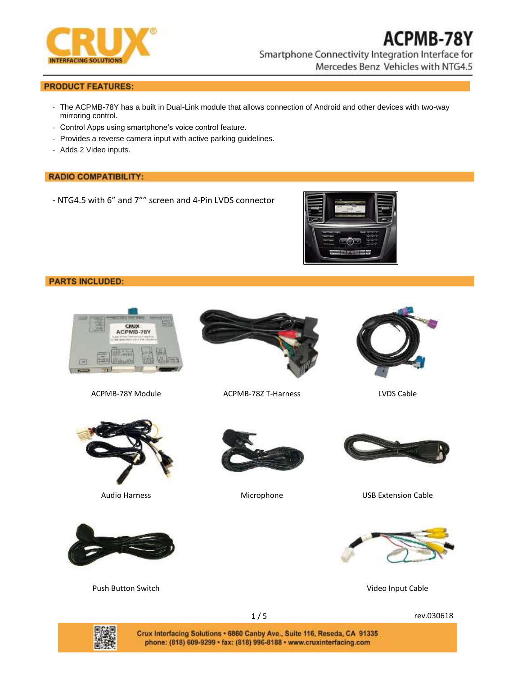

## **PRODUCT FEATURES:**

- The ACPMB-78Y has a built in Dual-Link module that allows connection of Android and other devices with two-way mirroring control.
- Control Apps using smartphone's voice control feature.
- Provides a reverse camera input with active parking guidelines.
- Adds 2 Video inputs.

### **RADIO COMPATIBILITY:**

- NTG4.5 with 6" and 7"" screen and 4-Pin LVDS connector



## **PARTS INCLUDED:**





ACPMB-78Y Module ACPMB-78Z T-Harness LVDS Cable







Push Button Switch **Video Input Cable** Video Input Cable





Audio Harness **Microphone** Microphone **Microphone** USB Extension Cable





1/5 rev.030618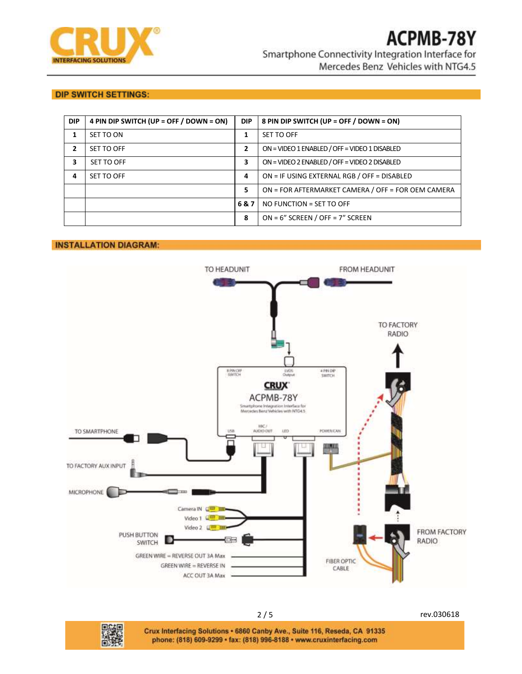

## **DIP SWITCH SETTINGS:**

| <b>DIP</b> | 4 PIN DIP SWITCH (UP = OFF / DOWN = ON) | <b>DIP</b>   | 8 PIN DIP SWITCH (UP = OFF / DOWN = ON)            |
|------------|-----------------------------------------|--------------|----------------------------------------------------|
| 1          | SET TO ON                               |              | SET TO OFF                                         |
| 2          | SET TO OFF                              | $\mathbf{2}$ | ON = VIDEO 1 ENABLED / OFF = VIDEO 1 DISABLED      |
| 3          | SET TO OFF                              | 3            | ON = VIDEO 2 ENABLED / OFF = VIDEO 2 DISABLED      |
| 4          | SET TO OFF                              | 4            | ON = IF USING EXTERNAL RGB / OFF = DISABLED        |
|            |                                         | 5            | ON = FOR AFTERMARKET CAMERA / OFF = FOR OEM CAMERA |
|            |                                         | 6&7          | NO FUNCTION = SET TO OFF                           |
|            |                                         | 8            | $ON = 6''$ SCREEN / OFF = 7" SCREEN                |

## **INSTALLATION DIAGRAM:**



2 / 5 rev.030618



Crux Interfacing Solutions . 6860 Canby Ave., Suite 116, Reseda, CA 91335 phone: (818) 609-9299 · fax: (818) 996-8188 · www.cruxinterfacing.com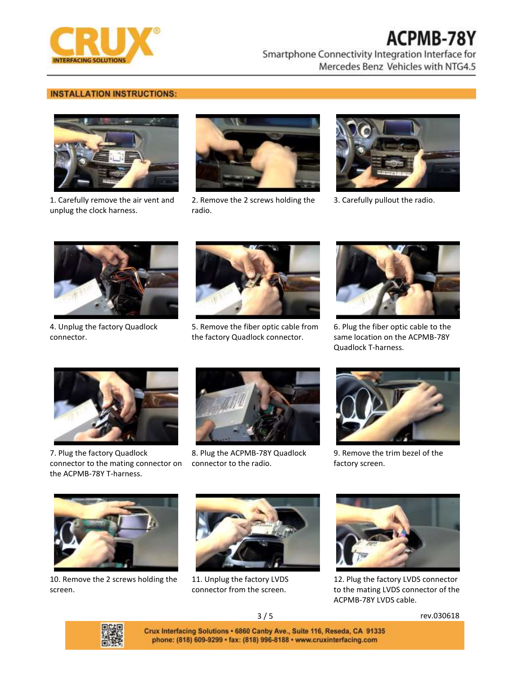

# **ACPMB-78Y**

Smartphone Connectivity Integration Interface for Mercedes Benz Vehicles with NTG4.5

## **INSTALLATION INSTRUCTIONS:**



1. Carefully remove the air vent and unplug the clock harness.



2. Remove the 2 screws holding the radio.



3. Carefully pullout the radio.



4. Unplug the factory Quadlock connector.



5. Remove the fiber optic cable from the factory Quadlock connector.



6. Plug the fiber optic cable to the same location on the ACPMB-78Y Quadlock T-harness.



7. Plug the factory Quadlock connector to the mating connector on the ACPMB-78Y T-harness.



8. Plug the ACPMB-78Y Quadlock connector to the radio.



9. Remove the trim bezel of the factory screen.



10. Remove the 2 screws holding the screen.



11. Unplug the factory LVDS connector from the screen.



12. Plug the factory LVDS connector to the mating LVDS connector of the ACPMB-78Y LVDS cable.



3 / 5 rev.030618

Crux Interfacing Solutions . 6860 Canby Ave., Suite 116, Reseda, CA 91335 phone: (818) 609-9299 · fax: (818) 996-8188 · www.cruxinterfacing.com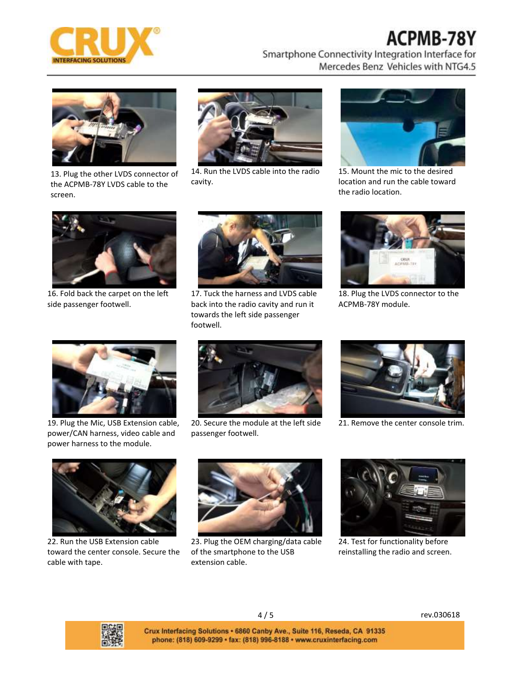

## ACPMB-78Y

Smartphone Connectivity Integration Interface for Mercedes Benz Vehicles with NTG4.5



13. Plug the other LVDS connector of the ACPMB-78Y LVDS cable to the screen.



14. Run the LVDS cable into the radio cavity.



15. Mount the mic to the desired location and run the cable toward the radio location.



16. Fold back the carpet on the left side passenger footwell.



17. Tuck the harness and LVDS cable back into the radio cavity and run it towards the left side passenger footwell.



18. Plug the LVDS connector to the ACPMB-78Y module.



19. Plug the Mic, USB Extension cable, power/CAN harness, video cable and power harness to the module.



20. Secure the module at the left side passenger footwell.



21. Remove the center console trim.



22. Run the USB Extension cable toward the center console. Secure the cable with tape.



23. Plug the OEM charging/data cable of the smartphone to the USB extension cable.



24. Test for functionality before reinstalling the radio and screen.